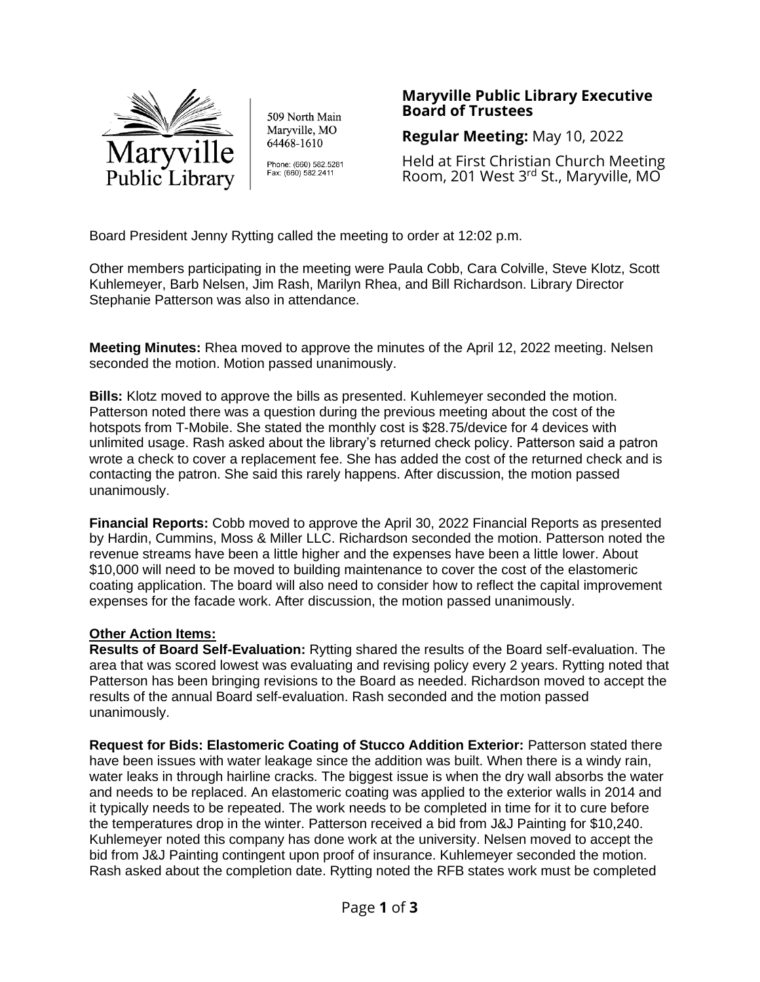

509 North Main Maryville, MO 64468-1610

Phone: (660) 582.5281 Fax: (660) 582.2411

## **Maryville Public Library Executive Board of Trustees**

**Regular Meeting:** May 10, 2022

Held at First Christian Church Meeting Room, 201 West 3rd St., Maryville, MO

Board President Jenny Rytting called the meeting to order at 12:02 p.m.

Other members participating in the meeting were Paula Cobb, Cara Colville, Steve Klotz, Scott Kuhlemeyer, Barb Nelsen, Jim Rash, Marilyn Rhea, and Bill Richardson. Library Director Stephanie Patterson was also in attendance.

**Meeting Minutes:** Rhea moved to approve the minutes of the April 12, 2022 meeting. Nelsen seconded the motion. Motion passed unanimously.

**Bills:** Klotz moved to approve the bills as presented. Kuhlemeyer seconded the motion. Patterson noted there was a question during the previous meeting about the cost of the hotspots from T-Mobile. She stated the monthly cost is \$28.75/device for 4 devices with unlimited usage. Rash asked about the library's returned check policy. Patterson said a patron wrote a check to cover a replacement fee. She has added the cost of the returned check and is contacting the patron. She said this rarely happens. After discussion, the motion passed unanimously.

**Financial Reports:** Cobb moved to approve the April 30, 2022 Financial Reports as presented by Hardin, Cummins, Moss & Miller LLC. Richardson seconded the motion. Patterson noted the revenue streams have been a little higher and the expenses have been a little lower. About \$10,000 will need to be moved to building maintenance to cover the cost of the elastomeric coating application. The board will also need to consider how to reflect the capital improvement expenses for the facade work. After discussion, the motion passed unanimously.

## **Other Action Items:**

**Results of Board Self-Evaluation:** Rytting shared the results of the Board self-evaluation. The area that was scored lowest was evaluating and revising policy every 2 years. Rytting noted that Patterson has been bringing revisions to the Board as needed. Richardson moved to accept the results of the annual Board self-evaluation. Rash seconded and the motion passed unanimously.

**Request for Bids: Elastomeric Coating of Stucco Addition Exterior:** Patterson stated there have been issues with water leakage since the addition was built. When there is a windy rain, water leaks in through hairline cracks. The biggest issue is when the dry wall absorbs the water and needs to be replaced. An elastomeric coating was applied to the exterior walls in 2014 and it typically needs to be repeated. The work needs to be completed in time for it to cure before the temperatures drop in the winter. Patterson received a bid from J&J Painting for \$10,240. Kuhlemeyer noted this company has done work at the university. Nelsen moved to accept the bid from J&J Painting contingent upon proof of insurance. Kuhlemeyer seconded the motion. Rash asked about the completion date. Rytting noted the RFB states work must be completed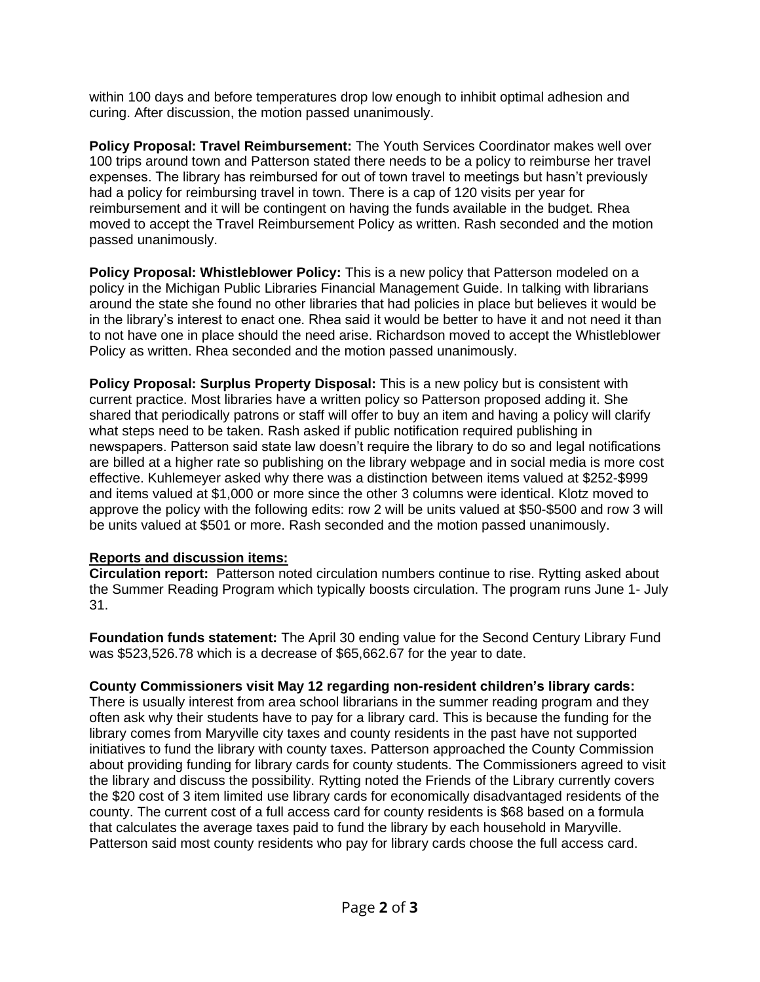within 100 days and before temperatures drop low enough to inhibit optimal adhesion and curing. After discussion, the motion passed unanimously.

**Policy Proposal: Travel Reimbursement:** The Youth Services Coordinator makes well over 100 trips around town and Patterson stated there needs to be a policy to reimburse her travel expenses. The library has reimbursed for out of town travel to meetings but hasn't previously had a policy for reimbursing travel in town. There is a cap of 120 visits per year for reimbursement and it will be contingent on having the funds available in the budget. Rhea moved to accept the Travel Reimbursement Policy as written. Rash seconded and the motion passed unanimously.

**Policy Proposal: Whistleblower Policy:** This is a new policy that Patterson modeled on a policy in the Michigan Public Libraries Financial Management Guide. In talking with librarians around the state she found no other libraries that had policies in place but believes it would be in the library's interest to enact one. Rhea said it would be better to have it and not need it than to not have one in place should the need arise. Richardson moved to accept the Whistleblower Policy as written. Rhea seconded and the motion passed unanimously.

**Policy Proposal: Surplus Property Disposal:** This is a new policy but is consistent with current practice. Most libraries have a written policy so Patterson proposed adding it. She shared that periodically patrons or staff will offer to buy an item and having a policy will clarify what steps need to be taken. Rash asked if public notification required publishing in newspapers. Patterson said state law doesn't require the library to do so and legal notifications are billed at a higher rate so publishing on the library webpage and in social media is more cost effective. Kuhlemeyer asked why there was a distinction between items valued at \$252-\$999 and items valued at \$1,000 or more since the other 3 columns were identical. Klotz moved to approve the policy with the following edits: row 2 will be units valued at \$50-\$500 and row 3 will be units valued at \$501 or more. Rash seconded and the motion passed unanimously.

## **Reports and discussion items:**

**Circulation report:** Patterson noted circulation numbers continue to rise. Rytting asked about the Summer Reading Program which typically boosts circulation. The program runs June 1- July 31.

**Foundation funds statement:** The April 30 ending value for the Second Century Library Fund was \$523,526.78 which is a decrease of \$65,662.67 for the year to date.

# **County Commissioners visit May 12 regarding non-resident children's library cards:**

There is usually interest from area school librarians in the summer reading program and they often ask why their students have to pay for a library card. This is because the funding for the library comes from Maryville city taxes and county residents in the past have not supported initiatives to fund the library with county taxes. Patterson approached the County Commission about providing funding for library cards for county students. The Commissioners agreed to visit the library and discuss the possibility. Rytting noted the Friends of the Library currently covers the \$20 cost of 3 item limited use library cards for economically disadvantaged residents of the county. The current cost of a full access card for county residents is \$68 based on a formula that calculates the average taxes paid to fund the library by each household in Maryville. Patterson said most county residents who pay for library cards choose the full access card.